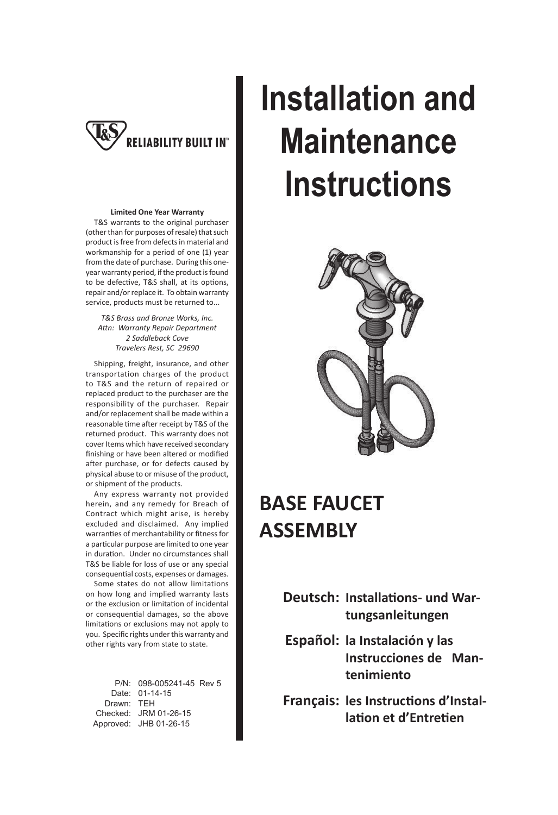

#### **Limited One Year Warranty**

 T&S warrants to the original purchaser (other than for purposes of resale) that such product is free from defects in material and workmanship for a period of one (1) year from the date of purchase. During this oneyear warranty period, if the product is found to be defective, T&S shall, at its options, repair and/or replace it. To obtain warranty service, products must be returned to...

*T&S Brass and Bronze Works, Inc. AƩ n: Warranty Repair Department 2 Saddleback Cove Travelers Rest, SC 29690*

 Shipping, freight, insurance, and other transportation charges of the product to T&S and the return of repaired or replaced product to the purchaser are the responsibility of the purchaser. Repair and/or replacement shall be made within a reasonable time after receipt by T&S of the returned product. This warranty does not cover Items which have received secondary finishing or have been altered or modified after purchase, or for defects caused by physical abuse to or misuse of the product, or shipment of the products.

 Any express warranty not provided herein, and any remedy for Breach of Contract which might arise, is hereby excluded and disclaimed. Any implied warranties of merchantability or fitness for a particular purpose are limited to one year in duration. Under no circumstances shall T&S be liable for loss of use or any special consequential costs, expenses or damages.

 Some states do not allow limitations on how long and implied warranty lasts or the exclusion or limitation of incidental or consequential damages, so the above limitations or exclusions may not apply to you. Specific rights under this warranty and other rights vary from state to state.

| P/N: 098-005241-45 Rev 5 |  |
|--------------------------|--|
| Date: 01-14-15           |  |
| Drawn: TEH               |  |
| Checked: JRM 01-26-15    |  |
| Approved: JHB 01-26-15   |  |
|                          |  |

# **Installation and Maintenance Instructions**



### **BASE FAUCET ASSEMBLY**

**Deutsch: Installations- und Wartungsanleitungen**

- **Español: la Instalación y las Instrucciones de Mantenimiento**
- **Français: les Instructions d'Installation et d'Entretien**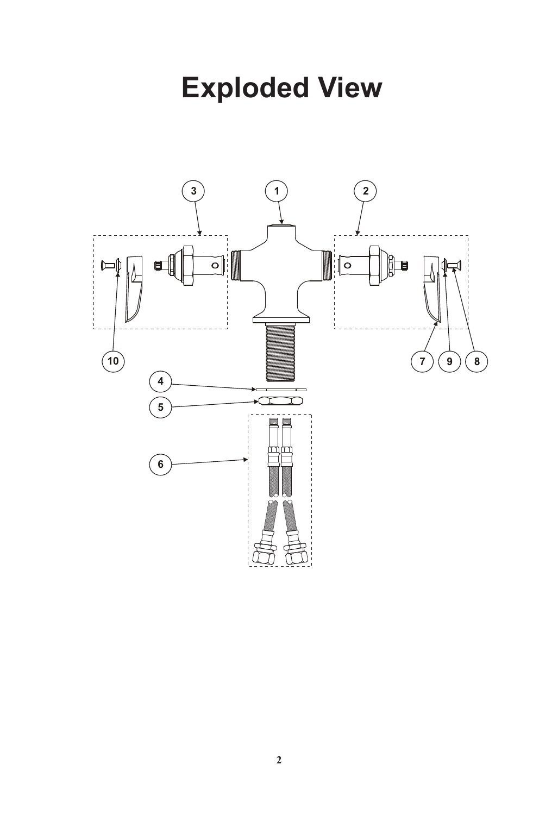### **Exploded View**

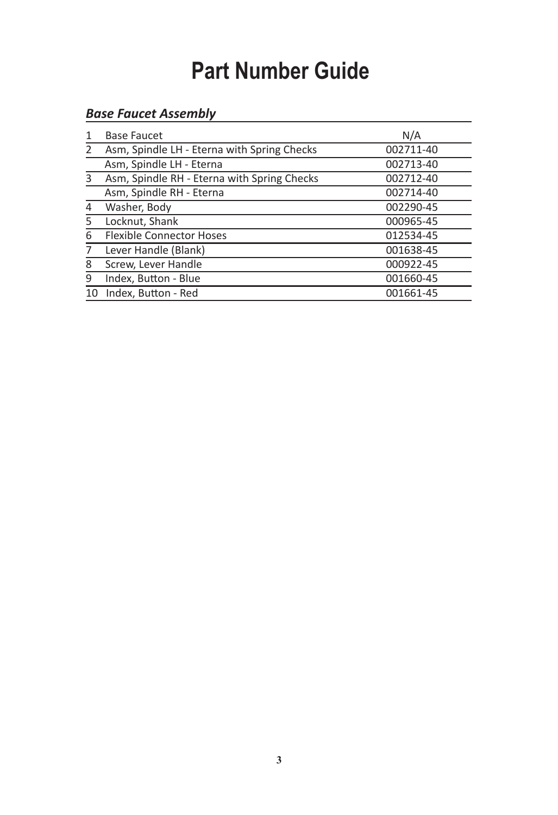### **Part Number Guide**

### *Base Faucet Assembly*

| 1  | <b>Base Faucet</b>                          | N/A       |
|----|---------------------------------------------|-----------|
| 2  | Asm, Spindle LH - Eterna with Spring Checks | 002711-40 |
|    | Asm, Spindle LH - Eterna                    | 002713-40 |
| 3  | Asm, Spindle RH - Eterna with Spring Checks | 002712-40 |
|    | Asm, Spindle RH - Eterna                    | 002714-40 |
| 4  | Washer, Body                                | 002290-45 |
| 5  | Locknut, Shank                              | 000965-45 |
| 6  | <b>Flexible Connector Hoses</b>             | 012534-45 |
| 7  | Lever Handle (Blank)                        | 001638-45 |
| 8  | Screw, Lever Handle                         | 000922-45 |
| 9  | Index, Button - Blue                        | 001660-45 |
| 10 | Index, Button - Red                         | 001661-45 |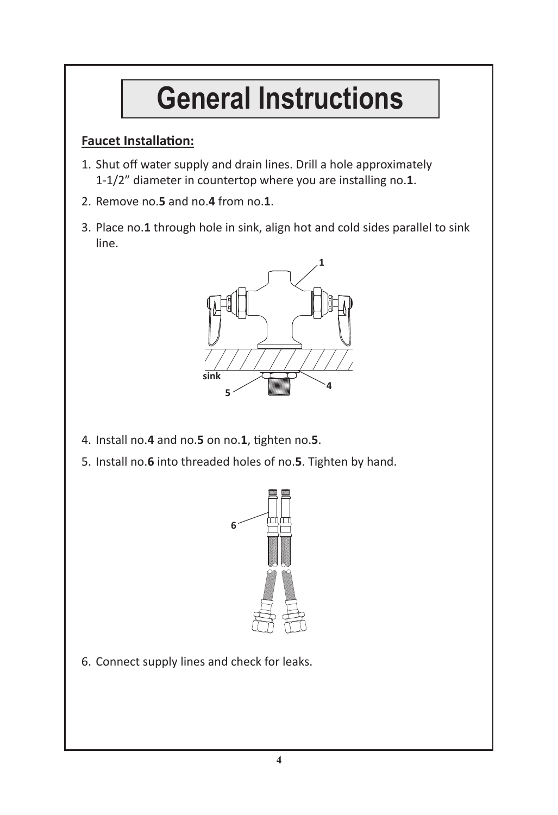## **General Instructions**

#### **Faucet Installation:**

- 1. Shut off water supply and drain lines. Drill a hole approximately 1-1/2" diameter in countertop where you are installing no.**1**.
- 2. Remove no.**5** and no.**4** from no.**1**.
- 3. Place no.**1** through hole in sink, align hot and cold sides parallel to sink line.



- 4. Install no.**4** and no.**5** on no.**1**, Ɵ ghten no.**5**.
- 5. Install no.**6** into threaded holes of no.**5**. Tighten by hand.



6. Connect supply lines and check for leaks.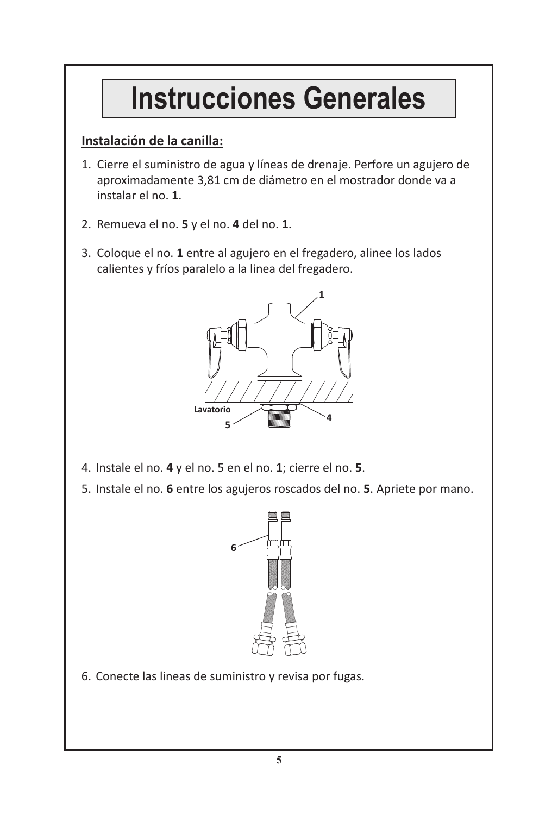### **Instrucciones Generales**

#### **Instalación de la canilla:**

- 1. Cierre el suministro de agua y líneas de drenaje. Perfore un agujero de aproximadamente 3,81 cm de diámetro en el mostrador donde va a instalar el no. **1**.
- 2. Remueva el no. **5** y el no. **4** del no. **1**.
- 3. Coloque el no. **1** entre al agujero en el fregadero, alinee los lados calientes y fríos paralelo a la linea del fregadero.



- 4. Instale el no. **4** y el no. 5 en el no. **1**; cierre el no. **5**.
- 5. Instale el no. **6** entre los agujeros roscados del no. **5**. Apriete por mano.



6. Conecte las lineas de suministro y revisa por fugas.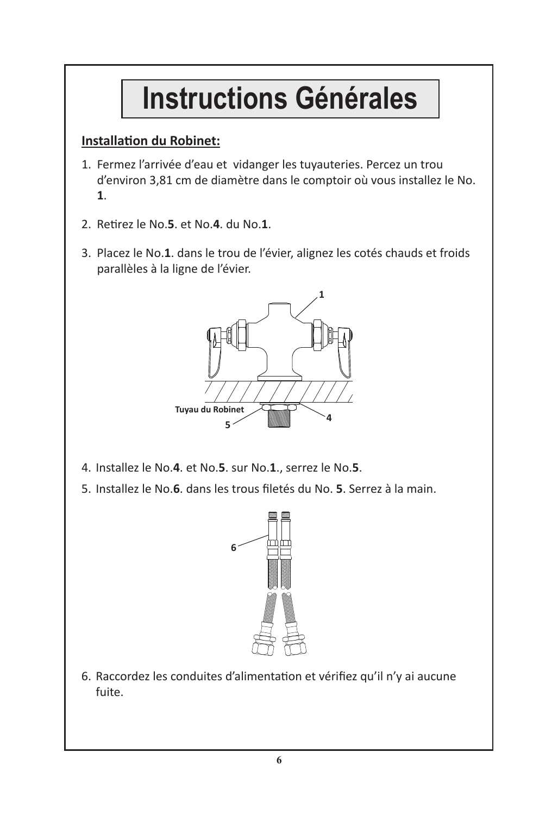## **Instructions Générales**

#### **Installation du Robinet:**

- 1. Fermez l'arrivée d'eau et vidanger les tuyauteries. Percez un trou d'environ 3,81 cm de diamètre dans le comptoir où vous installez le No. **1**.
- 2. Retirez le No.5. et No.4. du No.1.
- 3. Placez le No.**1**. dans le trou de l'évier, alignez les cotés chauds et froids parallèles à la ligne de l'évier.



- 4. Installez le No.**4**. et No.**5**. sur No.**1**., serrez le No.**5**.
- 5. Installez le No.**6**. dans les trous fi letés du No. **5**. Serrez à la main.



6. Raccordez les conduites d'alimentation et vérifiez qu'il n'y ai aucune fuite.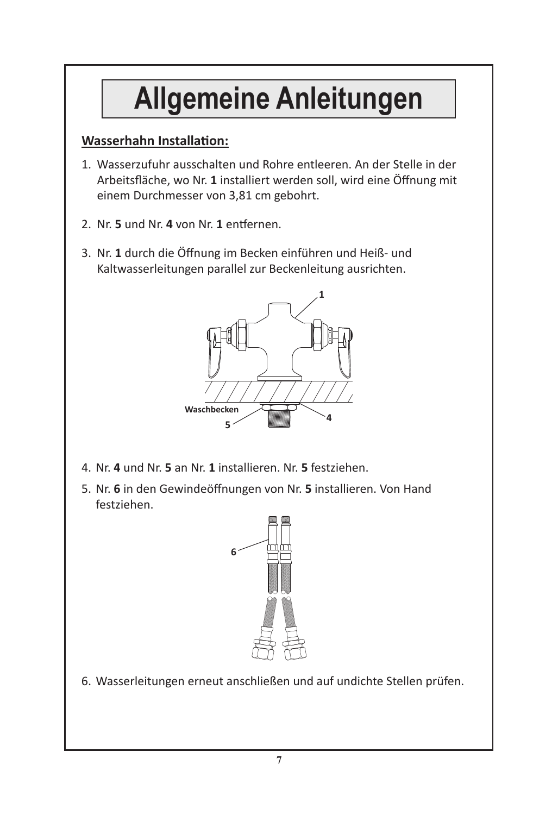## **Allgemeine Anleitungen**

#### **Wasserhahn Installation:**

- 1. Wasserzufuhr ausschalten und Rohre entleeren. An der Stelle in der Arbeitsfläche, wo Nr. 1 installiert werden soll, wird eine Öffnung mit einem Durchmesser von 3,81 cm gebohrt.
- 2. Nr. 5 und Nr. 4 von Nr. 1 entfernen.
- 3. Nr. 1 durch die Öffnung im Becken einführen und Heiß- und Kaltwasserleitungen parallel zur Beckenleitung ausrichten.



- 4. Nr. **4** und Nr. **5** an Nr. **1** installieren. Nr. **5** festziehen.
- 5. Nr. 6 in den Gewindeöffnungen von Nr. 5 installieren. Von Hand festziehen.



6. Wasserleitungen erneut anschließen und auf undichte Stellen prüfen.